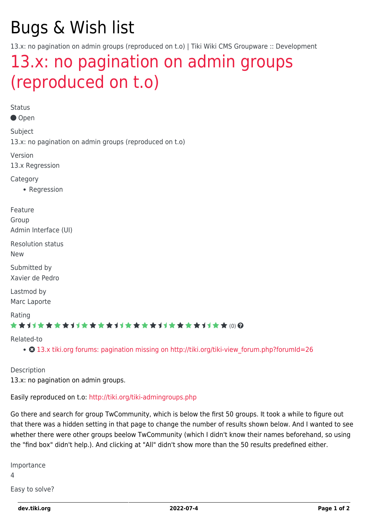# Bugs & Wish list

13.x: no pagination on admin groups (reproduced on t.o) | Tiki Wiki CMS Groupware :: Development

# [13.x: no pagination on admin groups](https://dev.tiki.org/item5442-13-x-no-pagination-on-admin-groups-reproduced-on-t-o) [\(reproduced on t.o\)](https://dev.tiki.org/item5442-13-x-no-pagination-on-admin-groups-reproduced-on-t-o)

Status Open Subject 13.x: no pagination on admin groups (reproduced on t.o) Version 13.x Regression **Category** • Regression Feature Group Admin Interface (UI) Resolution status New Submitted by Xavier de Pedro Lastmod by Marc Laporte Rating ★★11★★★★11★★★★11★★★★11★★★★+11★★ (0) @ Related-to • 3 13.x tiki.org forums: pagination missing on http://tiki.org/tiki-view forum.php?forumId=26

Description

13.x: no pagination on admin groups.

Easily reproduced on t.o:<http://tiki.org/tiki-admingroups.php>

Go there and search for group TwCommunity, which is below the first 50 groups. It took a while to figure out that there was a hidden setting in that page to change the number of results shown below. And I wanted to see whether there were other groups beelow TwCommunity (which I didn't know their names beforehand, so using the "find box" didn't help.). And clicking at "All" didn't show more than the 50 results predefined either.

Importance 4

Easy to solve?